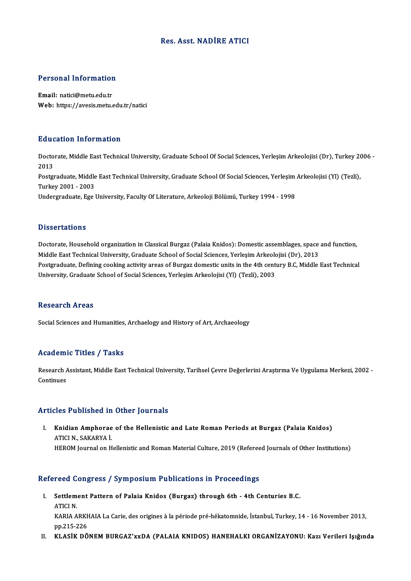#### Res. Asst.NADİRE ATICI

# Personal Information

Personal Information<br>Email: natici@metu.edu.tr<br>Web: https://avesis.mstv Email: natici@metu.edu.tr<br>Web: https://avesis.metu.edu.tr/natici

#### Education Information

**Education Information**<br>Doctorate, Middle East Technical University, Graduate School Of Social Sciences, Yerleşim Arkeolojisi (Dr), Turkey 2006 -<br>2013 Bata<br>Docto<br>2013 Doctorate, Middle East Technical University, Graduate School Of Social Sciences, Yerleşim Arkeolojisi (Dr), Turkey 20<br>2013<br>Postgraduate, Middle East Technical University, Graduate School Of Social Sciences, Yerleşim Arkeol 2013<br>Postgraduate, Middle<br>Turkey 2001 - 2003<br>Undergraduate, Esc. Postgraduate, Middle East Technical University, Graduate School Of Social Sciences, Yerleşim<br>Turkey 2001 - 2003<br>Undergraduate, Ege University, Faculty Of Literature, Arkeoloji Bölümü, Turkey 1994 - 1998 Undergraduate, Ege University, Faculty Of Literature, Arkeoloji Bölümü, Turkey 1994 - 1998<br>Dissertations

Dissertations<br>Doctorate, Household organization in Classical Burgaz (Palaia Knidos): Domestic assemblages, space and function,<br>Middle Feet Technical University, Creducte School of Secial Sciences, Verlesim Arkeolojisi (Dr) D'isser tationis<br>Doctorate, Household organization in Classical Burgaz (Palaia Knidos): Domestic assemblages, space<br>Middle East Technical University, Graduate School of Social Sciences, Yerleşim Arkeolojisi (Dr), 2013<br>Post Doctorate, Household organization in Classical Burgaz (Palaia Knidos): Domestic assemblages, space and function,<br>Middle East Technical University, Graduate School of Social Sciences, Yerleşim Arkeolojisi (Dr), 2013<br>Postgra Middle East Technical University, Graduate School of Social Sciences, Yerleşim Arkeolojisi (Dr), 2013<br>Postgraduate, Defining cooking activity areas of Burgaz domestic units in the 4th century B.C, Middle East Technical<br>Uni

#### **Research Areas**

Social Sciences and Humanities, Archaelogy and History of Art, Archaeology

#### Academic Titles / Tasks

**Academic Titles / Tasks**<br>Research Assistant, Middle East Technical University, Tarihsel Çevre Değerlerini Araştırma Ve Uygulama Merkezi, 2002 -<br>Centinues Research A<br>Continues

## Articles Published in Other Journals

rticles Published in Other Journals<br>I. Knidian Amphorae of the Hellenistic and Late Roman Periods at Burgaz (Palaia Knidos)<br>ATICUN SAKARYAJ ATICI A MARIBINDA AH<br>ATICI N., SAKARYA İ.<br>HEROM Journal on H ATICI N., SAKARYA İ.<br>HEROM Journal on Hellenistic and Roman Material Culture, 2019 (Refereed Journals of Other Institutions)

#### Refereed Congress / Symposium Publications in Proceedings

- efereed Congress / Symposium Publications in Proceedings<br>I. Settlement Pattern of Palaia Knidos (Burgaz) through 6th 4th Centuries B.C.<br>ATICLN Teca<br>Settlem<br>ATICI N. Settlement Pattern of Palaia Knidos (Burgaz) through 6th - 4th Centuries B.C.<br>ATICI N.<br>KARIA ARKHAIA La Carie, des origines à la période pré-hékatomnide, İstanbul, Turkey, 14 - 16 November 2013,<br>nn <sup>215–226</sup> ATICI N.<br>KARIA ARKE<br>pp.215-226<br>KLASIK DÖ KARIA ARKHAIA La Carie, des origines à la période pré-hékatomnide, İstanbul, Turkey, 14 - 16 November 2013,<br>pp.215-226<br>II. KLASİK DÖNEM BURGAZ'xxDA (PALAIA KNIDOS) HANEHALKI ORGANİZAYONU: Kazı Verileri Işığında
-